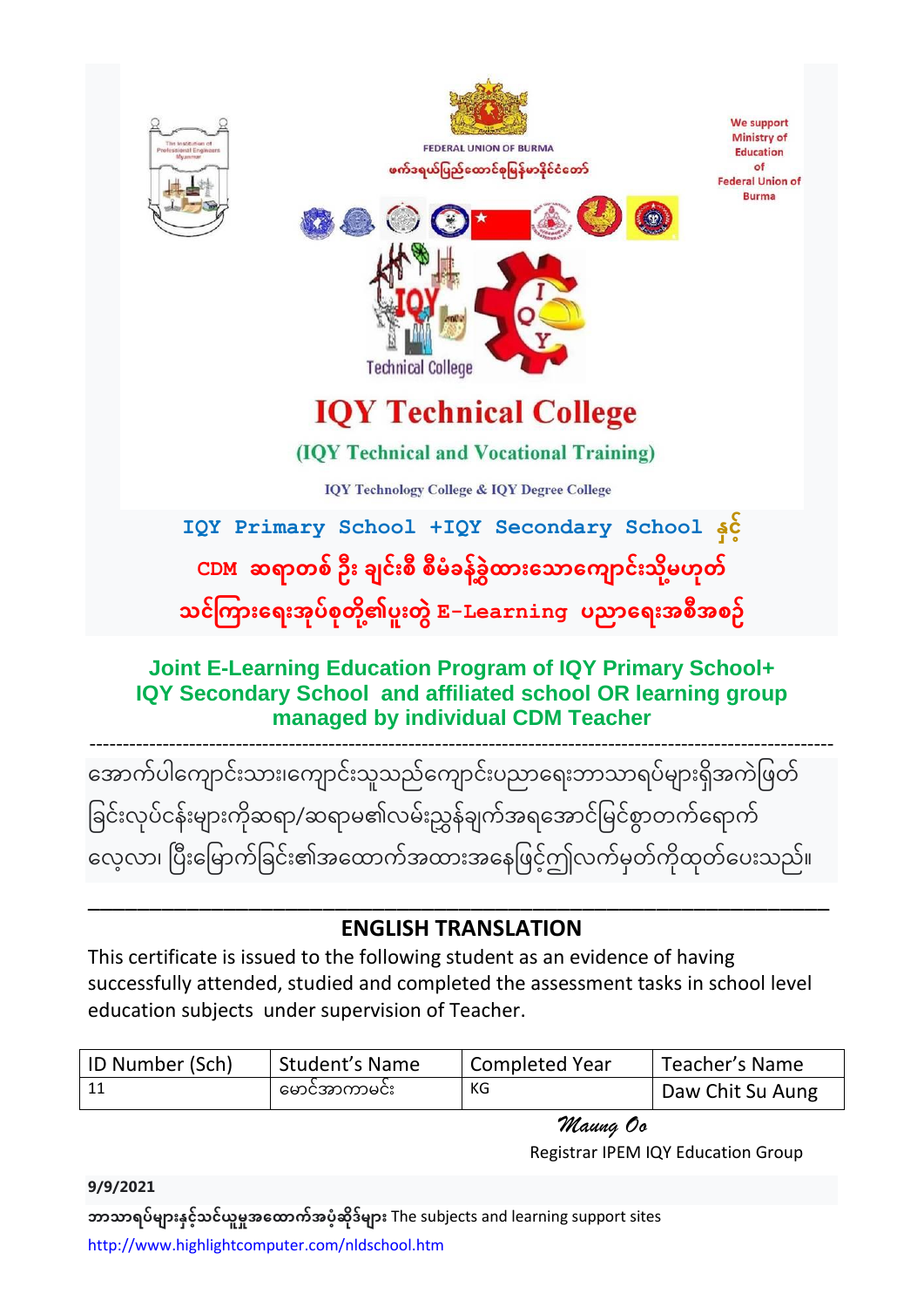

အောက်ပါကျောင်းသား၊ကျောင်းသူသည်ကျောင်းပညာရေးဘာသာရပ်များရှိအကဲဖြတ် ခြင်းလုပ်ငန်းများကိုဆရာ/ဆရာမ၏လမ်းညွှန်ချက်အရအောင်မြင်စွာတက်ရောက် လေ့လာ၊ ပြီးမြောက်ခြင်း၏အထောက်အထားအနေဖြင့်ဤလက်မှတ်ကိုထုတ်ပေးသည်။

## \_\_\_\_\_\_\_\_\_\_\_\_\_\_\_\_\_\_\_\_\_\_\_\_\_\_\_\_\_\_\_\_\_\_\_\_\_\_\_\_\_\_\_\_\_\_\_\_\_\_\_\_\_\_\_\_\_\_\_\_ **ENGLISH TRANSLATION**

This certificate is issued to the following student as an evidence of having successfully attended, studied and completed the assessment tasks in school level education subjects under supervision of Teacher.

| ID Number (Sch) | Student's Name | Completed Year | Teacher's Name   |
|-----------------|----------------|----------------|------------------|
| 11              | မောင်အာကာမင်း  | КG             | Daw Chit Su Aung |

 *Maung Oo* Registrar IPEM IQY Education Group

**ဘာသာရပ်များနှင့်သင်ယူမှုအထောက်အပံ့ဆိုဒ်များ** The subjects and learning support sites <http://www.highlightcomputer.com/nldschool.htm>

**9/9/2021**